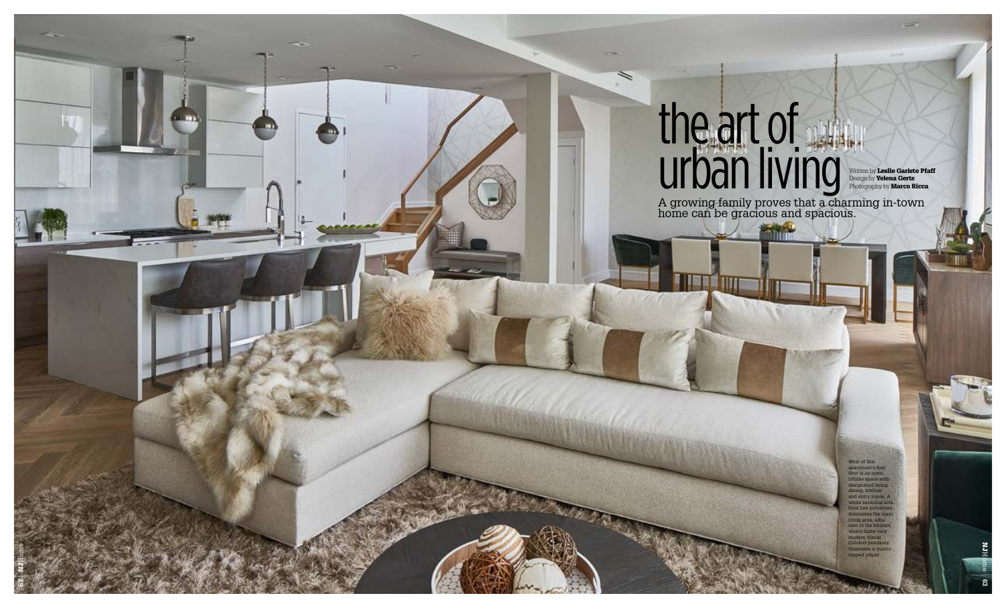## the art of urban living

**TYPE** 

Written by Leslie Garisto Pfaff Design by Yelena Gerts Photography by **Marco Ricca** 

Most of this apartment's first floor is an open loftlike space with designated living, dining, kitchen nd entry zones ite sec om Lee Ind dominates the main living area, adja nt to the kitch where three very modern Visual Comfort pendants nate a qua topped island.



NJHome

A growing family proves that a charming in-town home can be gracious and spacious.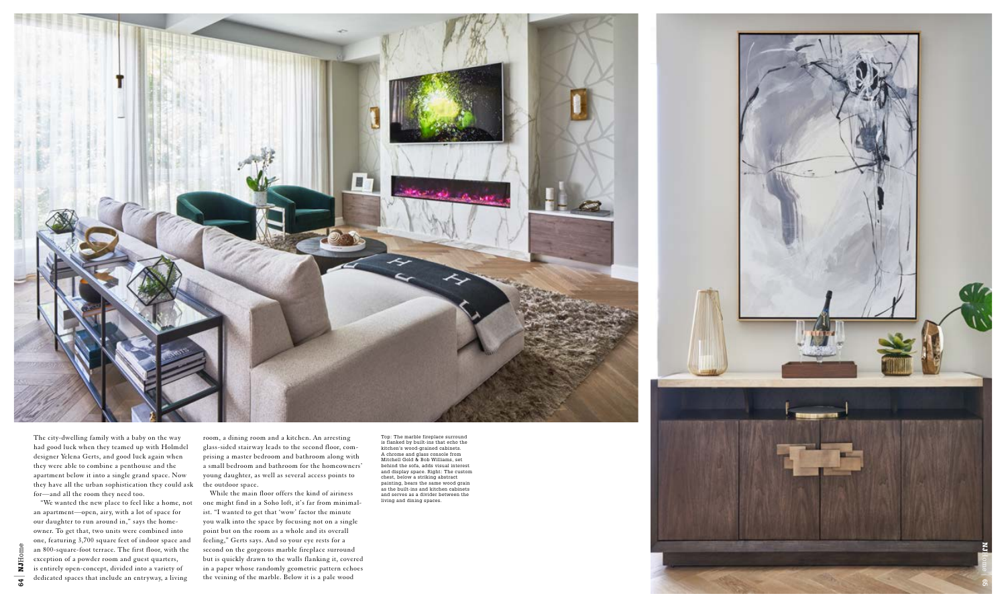Top: The marble fireplace surround is flanked by built-ins that echo the kitchen's wood-grained cabinets. A chrome and glass console from Mitchell Gold & Bob Williams, set behind the sofa, adds visual interest and display space. Right: The custom chest, below a striking abstract painting, bears the same wood grain as the built-ins and kitchen cabinets and serves as a divider between the living and dining spaces.



The city-dwelling family with a baby on the way had good luck when they teamed up with Holmdel designer Yelena Gerts, and good luck again when they were able to combine a penthouse and the apartment below it into a single grand space. Now they have all the urban sophistication they could ask for—and all the room they need too.

"We wanted the new place to feel like a home, not an apartment—open, airy, with a lot of space for our daughter to run around in," says the home owner. To get that, two units were combined into one, featuring 3,700 square feet of indoor space and an 800-square-foot terrace. The first floor, with the exception of a powder room and guest quarters, is entirely open-concept, divided into a variety of dedicated spaces that include an entryway, a living

room, a dining room and a kitchen. An arresting glass-sided stairway leads to the second floor, com prising a master bedroom and bathroom along with a small bedroom and bathroom for the homeowners' young daughter, as well as several access points to the outdoor space.

While the main floor offers the kind of airiness one might find in a Soho loft, it's far from minimal ist. "I wanted to get that 'wow' factor the minute you walk into the space by focusing not on a single point but on the room as a whole and its overall feeling," Gerts says. And so your eye rests for a second on the gorgeous marble fireplace surround but is quickly drawn to the walls flanking it, covered in a paper whose randomly geometric pattern echoes the veining of the marble. Below it is a pale wood

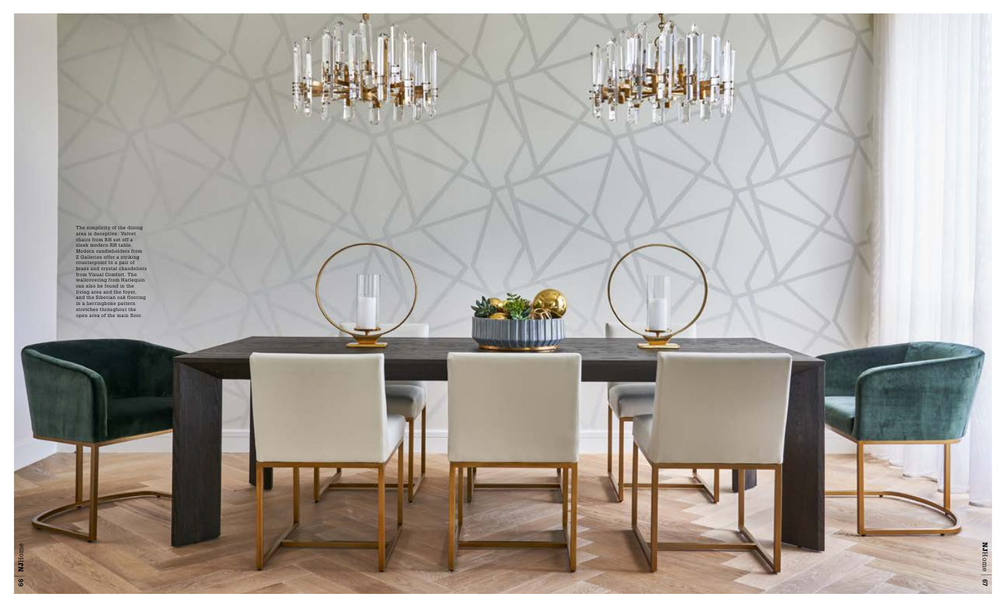ш

The simplicity of the dining<br>area is deceptive: Velvet<br>chairs from RH set off a<br>sleek modern RH table.<br>Modern candleholders from<br>Z Galleries offer a striking<br>Counterpoint to a pair of<br>brass and crystal chandeliers<br>from Vis

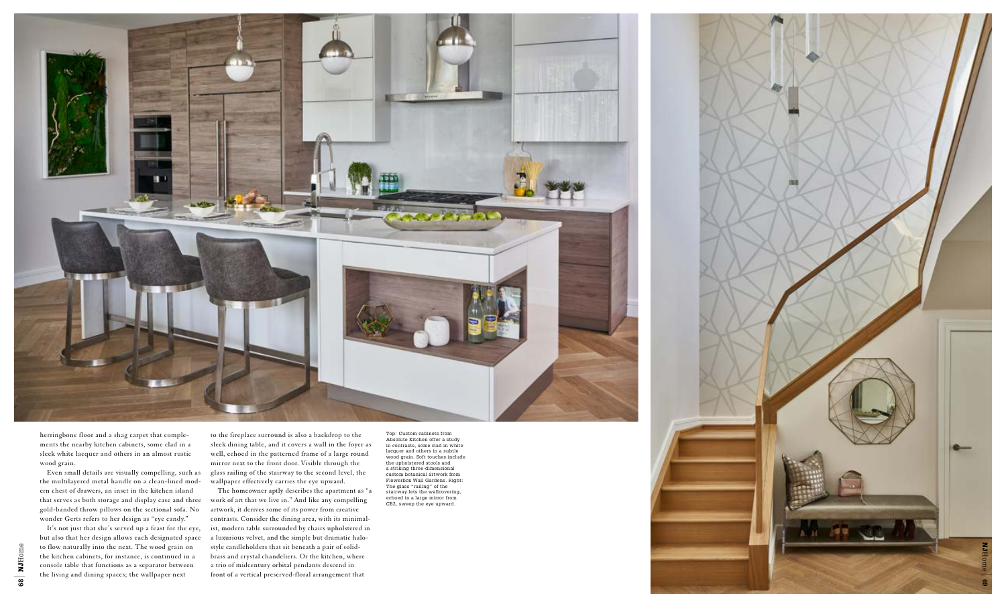

Top: Custom cabinets from Absolute Kitchen offer a study in contrasts, some clad in white lacquer and others in a subtle wood grain. Soft touches include the upholstered stools and a striking three-dimensional custom botanical artwork from Flowerbox Wall Gardens. Right: The glass "railing" of the stairway lets the wallcovering, echoed in a large mirror from CB2, sweep the eye upward.



herringbone floor and a shag carpet that comple ments the nearby kitchen cabinets, some clad in a sleek white lacquer and others in an almost rustic wood grain.

Even small details are visually compelling, such as the multilayered metal handle on a clean-lined mod ern chest of drawers, an inset in the kitchen island that serves as both storage and display case and three gold-banded throw pillows on the sectional sofa. No wonder Gerts refers to her design as "eye candy."

It's not just that she's served up a feast for the eye, but also that her design allows each designated space to flow naturally into the next. The wood grain on the kitchen cabinets, for instance, is continued in a console table that functions as a separator between the living and dining spaces; the wallpaper next

to the fireplace surround is also a backdrop to the sleek dining table, and it covers a wall in the foyer as well, echoed in the patterned frame of a large round mirror next to the front door. Visible through the glass railing of the stairway to the second level, the wallpaper effectively carries the eye upward.

The homeowner aptly describes the apartment as "a work of art that we live in." And like any compelling artwork, it derives some of its power from creative contrasts. Consider the dining area, with its minimal ist, modern table surrounded by chairs upholstered in a luxurious velvet, and the simple but dramatic halostyle candleholders that sit beneath a pair of solidbrass and crystal chandeliers. Or the kitchen, where a trio of midcentury orbital pendants descend in front of a vertical preserved-floral arrangement that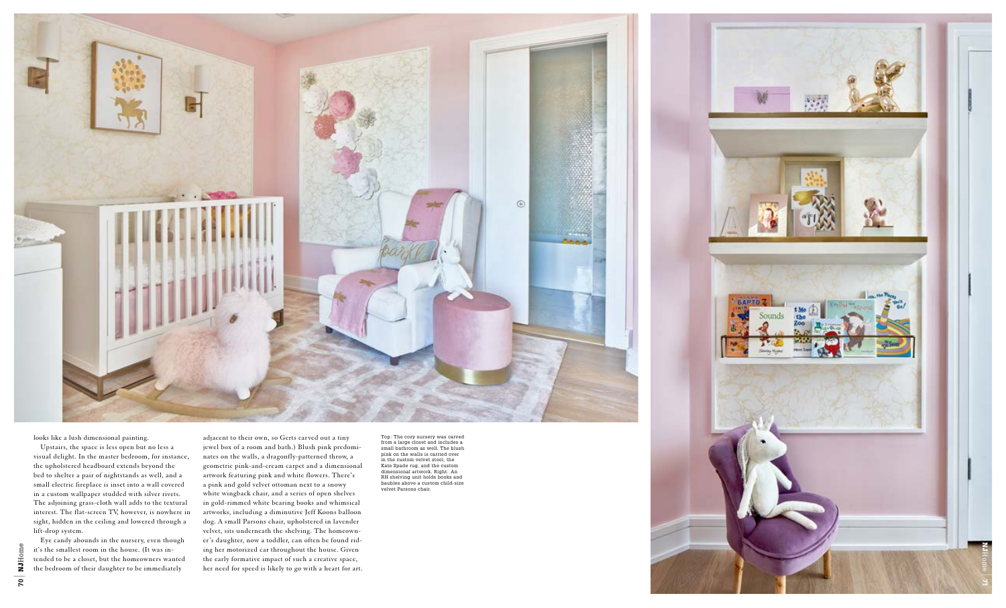Top: The cozy nursery was carved from a large closet and includes a small bathroom as well. The blush pink on the walls is carried over in the custom velvet stool, the Kate Spade rug, and the custom dimensional artwork. Right: An RH shelving unit holds books and baubles above a custom child-size velvet Parsons chair.



looks like a lush dimensional painting.

Upstairs, the space is less open but no less a visual delight. In the master bedroom, for instance, the upholstered headboard extends beyond the bed to shelter a pair of nightstands as well, and a small electric fireplace is inset into a wall covered in a custom wallpaper studded with silver rivets. The adjoining grass-cloth wall adds to the textural interest. The flat-screen TV, however, is nowhere in sight, hidden in the ceiling and lowered through a lift-drop system.

Eye candy abounds in the nursery, even though it's the smallest room in the house. (It was in tended to be a closet, but the homeowners wanted the bedroom of their daughter to be immediately

adjacent to their own, so Gerts carved out a tiny jewel box of a room and bath.) Blush pink predomi nates on the walls, a dragonfly-patterned throw, a geometric pink-and-cream carpet and a dimensional artwork featuring pink and white flowers. There's a pink and gold velvet ottoman next to a snowy white wingback chair, and a series of open shelves in gold-rimmed white bearing books and whimsical artworks, including a diminutive Jeff Koons balloon dog. A small Parsons chair, upholstered in lavender velvet, sits underneath the shelving. The homeown er's daughter, now a toddler, can often be found rid ing her motorized car throughout the house. Given the early formative impact of such a creative space, her need for speed is likely to go with a heart for art.